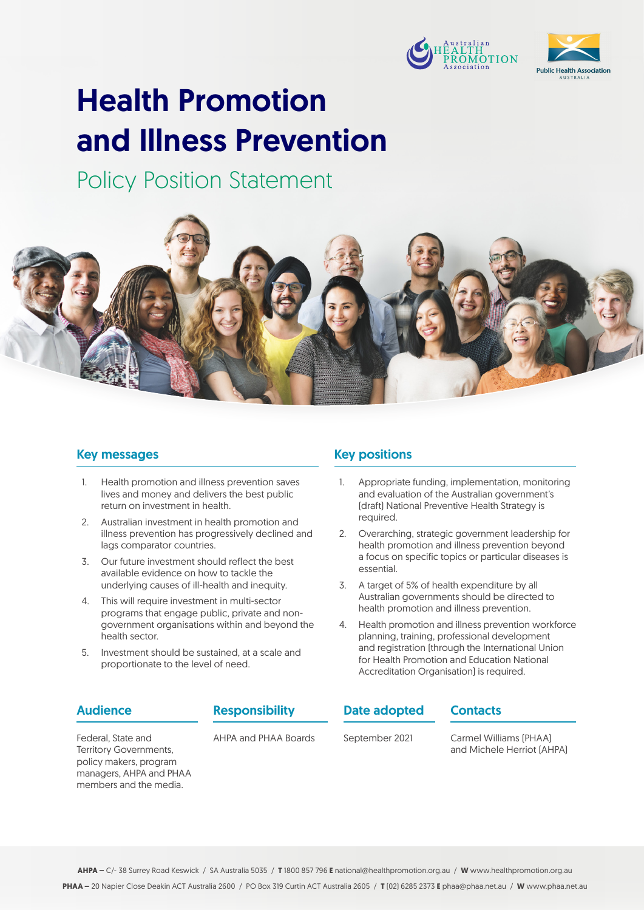



# Health Promotion and Illness Prevention

Policy Position Statement



### Key messages

- 1. Health promotion and illness prevention saves lives and money and delivers the best public return on investment in health.
- 2. Australian investment in health promotion and illness prevention has progressively declined and lags comparator countries.
- 3. Our future investment should reflect the best available evidence on how to tackle the underlying causes of ill-health and inequity.
- 4. This will require investment in multi-sector programs that engage public, private and nongovernment organisations within and beyond the health sector.
- 5. Investment should be sustained, at a scale and proportionate to the level of need.

### Key positions

- 1. Appropriate funding, implementation, monitoring and evaluation of the Australian government's (draft) National Preventive Health Strategy is required.
- 2. Overarching, strategic government leadership for health promotion and illness prevention beyond a focus on specific topics or particular diseases is essential.
- 3. A target of 5% of health expenditure by all Australian governments should be directed to health promotion and illness prevention.
- 4. Health promotion and illness prevention workforce planning, training, professional development and registration (through the International Union for Health Promotion and Education National Accreditation Organisation) is required.

**Contacts** 

### Audience

Responsibility

AHPA and PHAA Boards

Date adopted

September 2021

Carmel Williams (PHAA) and Michele Herriot (AHPA)

Federal, State and Territory Governments, policy makers, program managers, AHPA and PHAA members and the media.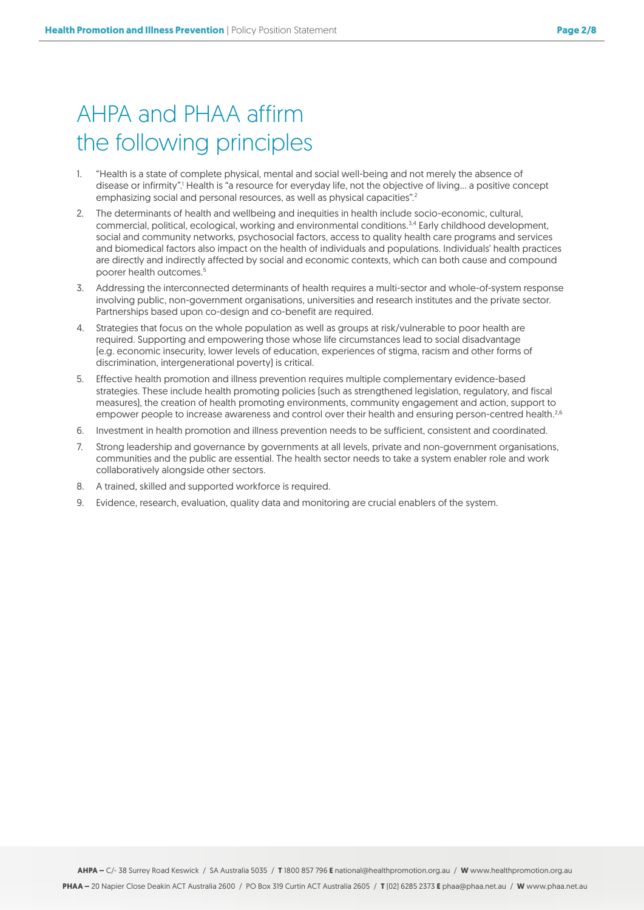# AHPA and PHAA affirm the following principles

- 1. "Health is a state of complete physical, mental and social well-being and not merely the absence of disease or infirmity".<sup>1</sup> Health is "a resource for everyday life, not the objective of living... a positive concept emphasizing social and personal resources, as well as physical capacities".<sup>2</sup>
- 2. The determinants of health and wellbeing and inequities in health include socio-economic, cultural, commercial, political, ecological, working and environmental conditions.3,4 Early childhood development, social and community networks, psychosocial factors, access to quality health care programs and services and biomedical factors also impact on the health of individuals and populations. Individuals' health practices are directly and indirectly affected by social and economic contexts, which can both cause and compound poorer health outcomes.<sup>5</sup>
- 3. Addressing the interconnected determinants of health requires a multi-sector and whole-of-system response involving public, non-government organisations, universities and research institutes and the private sector. Partnerships based upon co-design and co-benefit are required.
- 4. Strategies that focus on the whole population as well as groups at risk/vulnerable to poor health are required. Supporting and empowering those whose life circumstances lead to social disadvantage (e.g. economic insecurity, lower levels of education, experiences of stigma, racism and other forms of discrimination, intergenerational poverty) is critical.
- 5. Effective health promotion and illness prevention requires multiple complementary evidence-based strategies. These include health promoting policies (such as strengthened legislation, regulatory, and fiscal measures), the creation of health promoting environments, community engagement and action, support to empower people to increase awareness and control over their health and ensuring person-centred health.<sup>2,6</sup>
- 6. Investment in health promotion and illness prevention needs to be sufficient, consistent and coordinated.
- 7. Strong leadership and governance by governments at all levels, private and non-government organisations, communities and the public are essential. The health sector needs to take a system enabler role and work collaboratively alongside other sectors.
- 8. A trained, skilled and supported workforce is required.
- 9. Evidence, research, evaluation, quality data and monitoring are crucial enablers of the system.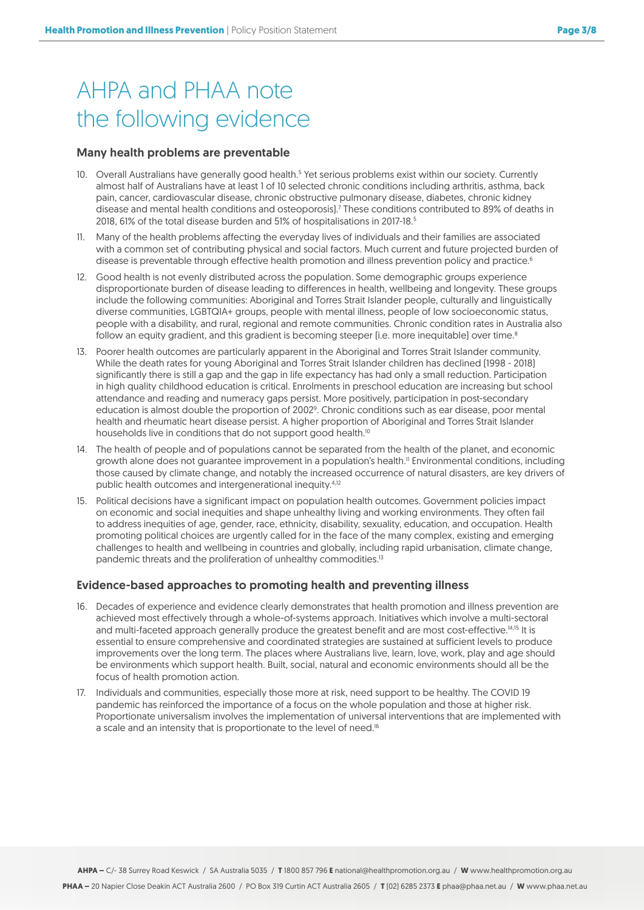# AHPA and PHAA note the following evidence

#### Many health problems are preventable

- 10. Overall Australians have generally good health.<sup>5</sup> Yet serious problems exist within our society. Currently almost half of Australians have at least 1 of 10 selected chronic conditions including arthritis, asthma, back pain, cancer, cardiovascular disease, chronic obstructive pulmonary disease, diabetes, chronic kidney disease and mental health conditions and osteoporosis).<sup>7</sup> These conditions contributed to 89% of deaths in 2018, 61% of the total disease burden and 51% of hospitalisations in 2017-18.5
- 11. Many of the health problems affecting the everyday lives of individuals and their families are associated with a common set of contributing physical and social factors. Much current and future projected burden of disease is preventable through effective health promotion and illness prevention policy and practice.<sup>6</sup>
- 12. Good health is not evenly distributed across the population. Some demographic groups experience disproportionate burden of disease leading to differences in health, wellbeing and longevity. These groups include the following communities: Aboriginal and Torres Strait Islander people, culturally and linguistically diverse communities, LGBTQIA+ groups, people with mental illness, people of low socioeconomic status, people with a disability, and rural, regional and remote communities. Chronic condition rates in Australia also follow an equity gradient, and this gradient is becoming steeper (i.e. more inequitable) over time. $8$
- 13. Poorer health outcomes are particularly apparent in the Aboriginal and Torres Strait Islander community. While the death rates for young Aboriginal and Torres Strait Islander children has declined (1998 - 2018) significantly there is still a gap and the gap in life expectancy has had only a small reduction. Participation in high quality childhood education is critical. Enrolments in preschool education are increasing but school attendance and reading and numeracy gaps persist. More positively, participation in post-secondary education is almost double the proportion of 2002<sup>9</sup>. Chronic conditions such as ear disease, poor mental health and rheumatic heart disease persist. A higher proportion of Aboriginal and Torres Strait Islander households live in conditions that do not support good health.<sup>10</sup>
- 14. The health of people and of populations cannot be separated from the health of the planet, and economic growth alone does not quarantee improvement in a population's health.<sup>11</sup> Environmental conditions, including those caused by climate change, and notably the increased occurrence of natural disasters, are key drivers of public health outcomes and intergenerational inequity.4,12
- 15. Political decisions have a significant impact on population health outcomes. Government policies impact on economic and social inequities and shape unhealthy living and working environments. They often fail to address inequities of age, gender, race, ethnicity, disability, sexuality, education, and occupation. Health promoting political choices are urgently called for in the face of the many complex, existing and emerging challenges to health and wellbeing in countries and globally, including rapid urbanisation, climate change, pandemic threats and the proliferation of unhealthy commodities.<sup>13</sup>

#### Evidence-based approaches to promoting health and preventing illness

- 16. Decades of experience and evidence clearly demonstrates that health promotion and illness prevention are achieved most effectively through a whole-of-systems approach. Initiatives which involve a multi-sectoral and multi-faceted approach generally produce the greatest benefit and are most cost-effective.<sup>14,15</sup> It is essential to ensure comprehensive and coordinated strategies are sustained at sufficient levels to produce improvements over the long term. The places where Australians live, learn, love, work, play and age should be environments which support health. Built, social, natural and economic environments should all be the focus of health promotion action.
- 17. Individuals and communities, especially those more at risk, need support to be healthy. The COVID 19 pandemic has reinforced the importance of a focus on the whole population and those at higher risk. Proportionate universalism involves the implementation of universal interventions that are implemented with a scale and an intensity that is proportionate to the level of need.<sup>16</sup>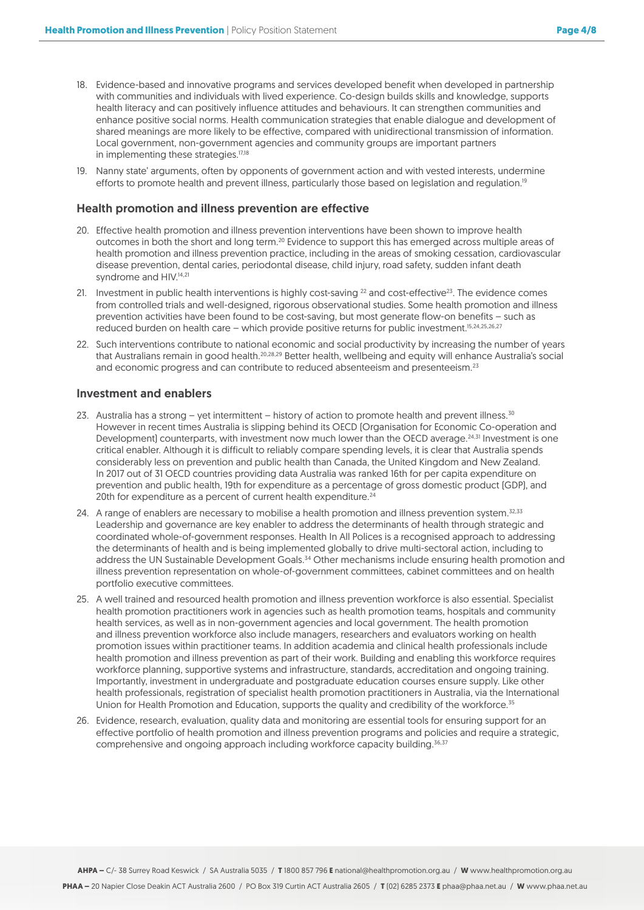- 18. Evidence-based and innovative programs and services developed benefit when developed in partnership with communities and individuals with lived experience. Co-design builds skills and knowledge, supports health literacy and can positively influence attitudes and behaviours. It can strengthen communities and enhance positive social norms. Health communication strategies that enable dialogue and development of shared meanings are more likely to be effective, compared with unidirectional transmission of information. Local government, non-government agencies and community groups are important partners in implementing these strategies.<sup>17,18</sup>
- 19. Nanny state' arguments, often by opponents of government action and with vested interests, undermine efforts to promote health and prevent illness, particularly those based on legislation and regulation.<sup>19</sup>

#### Health promotion and illness prevention are effective

- 20. Effective health promotion and illness prevention interventions have been shown to improve health outcomes in both the short and long term.<sup>20</sup> Evidence to support this has emerged across multiple areas of health promotion and illness prevention practice, including in the areas of smoking cessation, cardiovascular disease prevention, dental caries, periodontal disease, child injury, road safety, sudden infant death syndrome and HIV.<sup>14,21</sup>
- 21. Investment in public health interventions is highly cost-saving  $^{22}$  and cost-effective $^{23}$ . The evidence comes from controlled trials and well-designed, rigorous observational studies. Some health promotion and illness prevention activities have been found to be cost-saving, but most generate flow-on benefits – such as reduced burden on health care – which provide positive returns for public investment.15,24,25,26,27
- 22. Such interventions contribute to national economic and social productivity by increasing the number of years that Australians remain in good health.20,28,29 Better health, wellbeing and equity will enhance Australia's social and economic progress and can contribute to reduced absenteeism and presenteeism.<sup>23</sup>

#### Investment and enablers

- 23. Australia has a strong yet intermittent history of action to promote health and prevent illness.<sup>30</sup> However in recent times Australia is slipping behind its OECD (Organisation for Economic Co-operation and Development) counterparts, with investment now much lower than the OECD average.<sup>24,31</sup> Investment is one critical enabler. Although it is difficult to reliably compare spending levels, it is clear that Australia spends considerably less on prevention and public health than Canada, the United Kingdom and New Zealand. In 2017 out of 31 OECD countries providing data Australia was ranked 16th for per capita expenditure on prevention and public health, 19th for expenditure as a percentage of gross domestic product (GDP), and 20th for expenditure as a percent of current health expenditure.<sup>24</sup>
- 24. A range of enablers are necessary to mobilise a health promotion and illness prevention system.<sup>32,33</sup> Leadership and governance are key enabler to address the determinants of health through strategic and coordinated whole-of-government responses. Health In All Polices is a recognised approach to addressing the determinants of health and is being implemented globally to drive multi-sectoral action, including to address the UN Sustainable Development Goals.34 Other mechanisms include ensuring health promotion and illness prevention representation on whole-of-government committees, cabinet committees and on health portfolio executive committees.
- 25. A well trained and resourced health promotion and illness prevention workforce is also essential. Specialist health promotion practitioners work in agencies such as health promotion teams, hospitals and community health services, as well as in non-government agencies and local government. The health promotion and illness prevention workforce also include managers, researchers and evaluators working on health promotion issues within practitioner teams. In addition academia and clinical health professionals include health promotion and illness prevention as part of their work. Building and enabling this workforce requires workforce planning, supportive systems and infrastructure, standards, accreditation and ongoing training. Importantly, investment in undergraduate and postgraduate education courses ensure supply. Like other health professionals, registration of specialist health promotion practitioners in Australia, via the International Union for Health Promotion and Education, supports the quality and credibility of the workforce.<sup>35</sup>
- 26. Evidence, research, evaluation, quality data and monitoring are essential tools for ensuring support for an effective portfolio of health promotion and illness prevention programs and policies and require a strategic, comprehensive and ongoing approach including workforce capacity building.<sup>36,37</sup>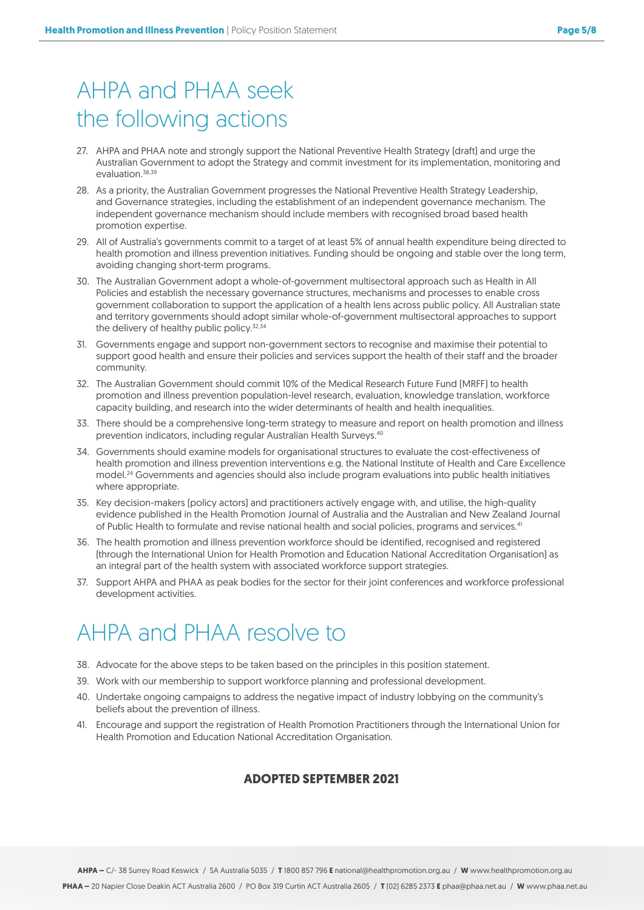# AHPA and PHAA seek the following actions

- 27. AHPA and PHAA note and strongly support the National Preventive Health Strategy (draft) and urge the Australian Government to adopt the Strategy and commit investment for its implementation, monitoring and evaluation<sup>38,39</sup>
- 28. As a priority, the Australian Government progresses the National Preventive Health Strategy Leadership, and Governance strategies, including the establishment of an independent governance mechanism. The independent governance mechanism should include members with recognised broad based health promotion expertise.
- 29. All of Australia's governments commit to a target of at least 5% of annual health expenditure being directed to health promotion and illness prevention initiatives. Funding should be ongoing and stable over the long term, avoiding changing short-term programs.
- 30. The Australian Government adopt a whole-of-government multisectoral approach such as Health in All Policies and establish the necessary governance structures, mechanisms and processes to enable cross government collaboration to support the application of a health lens across public policy. All Australian state and territory governments should adopt similar whole-of-government multisectoral approaches to support the delivery of healthy public policy.<sup>32,34</sup>
- 31. Governments engage and support non-government sectors to recognise and maximise their potential to support good health and ensure their policies and services support the health of their staff and the broader community.
- 32. The Australian Government should commit 10% of the Medical Research Future Fund (MRFF) to health promotion and illness prevention population-level research, evaluation, knowledge translation, workforce capacity building, and research into the wider determinants of health and health inequalities.
- 33. There should be a comprehensive long-term strategy to measure and report on health promotion and illness prevention indicators, including regular Australian Health Surveys.40
- 34. Governments should examine models for organisational structures to evaluate the cost-effectiveness of health promotion and illness prevention interventions e.g. the National Institute of Health and Care Excellence model.24 Governments and agencies should also include program evaluations into public health initiatives where appropriate.
- 35. Key decision-makers (policy actors) and practitioners actively engage with, and utilise, the high-quality evidence published in the Health Promotion Journal of Australia and the Australian and New Zealand Journal of Public Health to formulate and revise national health and social policies, programs and services.<sup>41</sup>
- 36. The health promotion and illness prevention workforce should be identified, recognised and registered (through the International Union for Health Promotion and Education National Accreditation Organisation) as an integral part of the health system with associated workforce support strategies.
- 37. Support AHPA and PHAA as peak bodies for the sector for their joint conferences and workforce professional development activities.

# AHPA and PHAA resolve to

- 38. Advocate for the above steps to be taken based on the principles in this position statement.
- 39. Work with our membership to support workforce planning and professional development.
- 40. Undertake ongoing campaigns to address the negative impact of industry lobbying on the community's beliefs about the prevention of illness.
- 41. Encourage and support the registration of Health Promotion Practitioners through the International Union for Health Promotion and Education National Accreditation Organisation.

### **ADOPTED SEPTEMBER 2021**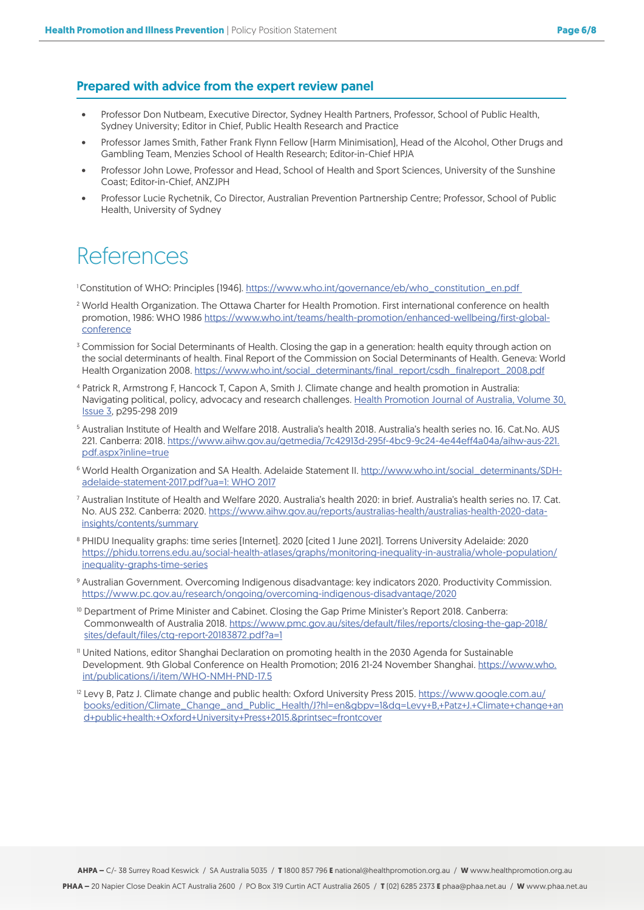### Prepared with advice from the expert review panel

- Professor Don Nutbeam, Executive Director, Sydney Health Partners, Professor, School of Public Health, Sydney University; Editor in Chief, Public Health Research and Practice
- Professor James Smith, Father Frank Flynn Fellow (Harm Minimisation), Head of the Alcohol, Other Drugs and Gambling Team, Menzies School of Health Research; Editor-in-Chief HPJA
- Professor John Lowe, Professor and Head, School of Health and Sport Sciences, University of the Sunshine Coast; Editor-in-Chief, ANZJPH
- Professor Lucie Rychetnik, Co Director, Australian Prevention Partnership Centre; Professor, School of Public Health, University of Sydney

## References

1 Constitution of WHO: Principles (1946). [https://www.who.int/governance/eb/who\\_constitution\\_en.pdf](https://www.who.int/governance/eb/who_constitution_en.pdf  ) 

- <sup>2</sup> World Health Organization. The Ottawa Charter for Health Promotion. First international conference on health promotion, 1986: WHO 1986 [https://www.who.int/teams/health-promotion/enhanced-wellbeing/first-global](https://www.who.int/teams/health-promotion/enhanced-wellbeing/first-global-conference)[conference](https://www.who.int/teams/health-promotion/enhanced-wellbeing/first-global-conference)
- <sup>3</sup> Commission for Social Determinants of Health. Closing the gap in a generation: health equity through action on the social determinants of health. Final Report of the Commission on Social Determinants of Health. Geneva: World Health Organization 2008. [https://www.who.int/social\\_determinants/final\\_report/csdh\\_finalreport\\_2008.pdf](https://www.who.int/social_determinants/final_report/csdh_finalreport_2008.pdf)
- <sup>4</sup> Patrick R, Armstrong F, Hancock T, Capon A, Smith J. Climate change and health promotion in Australia: Navigating political, policy, advocacy and research challenges. [Health Promotion Journal of Australia, Volume 30,](https://onlinelibrary.wiley.com/journal/22011617) [Issue 3](https://onlinelibrary.wiley.com/journal/22011617), p295-298 2019
- <sup>5</sup> Australian Institute of Health and Welfare 2018. Australia's health 2018. Australia's health series no. 16. Cat.No. AUS 221. Canberra: 2018. [https://www.aihw.gov.au/getmedia/7c42913d-295f-4bc9-9c24-4e44eff4a04a/aihw-aus-221.](https://www.aihw.gov.au/getmedia/7c42913d-295f-4bc9-9c24-4e44eff4a04a/aihw-aus-221.pdf.aspx?inline=t) [pdf.aspx?inline=true](https://www.aihw.gov.au/getmedia/7c42913d-295f-4bc9-9c24-4e44eff4a04a/aihw-aus-221.pdf.aspx?inline=t)
- <sup>6</sup> World Health Organization and SA Health. Adelaide Statement II. [http://www.who.int/social\\_determinants/SDH](http://www.who.int/social_determinants/SDH-adelaide-statement-2017.pdf?ua=1: WHO 2017)[adelaide-statement-2017.pdf?ua=1: WHO 2017](http://www.who.int/social_determinants/SDH-adelaide-statement-2017.pdf?ua=1: WHO 2017)
- <sup>7</sup> Australian Institute of Health and Welfare 2020. Australia's health 2020: in brief. Australia's health series no. 17. Cat. No. AUS 232. Canberra: 2020. [https://www.aihw.gov.au/reports/australias-health/australias-health-2020-data](https://www.aihw.gov.au/reports/australias-health/australias-health-2020-data-insights/contents/summary)[insights/contents/summary](https://www.aihw.gov.au/reports/australias-health/australias-health-2020-data-insights/contents/summary)
- <sup>8</sup> PHIDU Inequality graphs: time series [Internet]. 2020 [cited 1 June 2021]. Torrens University Adelaide: 2020 [https://phidu.torrens.edu.au/social-health-atlases/graphs/monitoring-inequality-in-australia/whole-population/](https://phidu.torrens.edu.au/social-health-atlases/graphs/monitoring-inequality-in-australia/whole-population/inequality-graphs-time-series) [inequality-graphs-time-series](https://phidu.torrens.edu.au/social-health-atlases/graphs/monitoring-inequality-in-australia/whole-population/inequality-graphs-time-series)
- <sup>9</sup> Australian Government. Overcoming Indigenous disadvantage: key indicators 2020. Productivity Commission. <https://www.pc.gov.au/research/ongoing/overcoming-indigenous-disadvantage/2020>
- <sup>10</sup> Department of Prime Minister and Cabinet. Closing the Gap Prime Minister's Report 2018. Canberra: Commonwealth of Australia 2018. [https://www.pmc.gov.au/sites/default/files/reports/closing-the-gap-2018/](https://www.pmc.gov.au/sites/default/files/reports/closing-the-gap-2018/sites/default/files/ctg-report-20183872.pdf?a=1) [sites/default/files/ctg-report-20183872.pdf?a=1](https://www.pmc.gov.au/sites/default/files/reports/closing-the-gap-2018/sites/default/files/ctg-report-20183872.pdf?a=1)
- <sup>11</sup> United Nations, editor Shanghai Declaration on promoting health in the 2030 Agenda for Sustainable Development. 9th Global Conference on Health Promotion; 2016 21-24 November Shanghai. [https://www.who.](https://www.who.int/publications/i/item/WHO-NMH-PND-17.5) [int/publications/i/item/WHO-NMH-PND-17.5](https://www.who.int/publications/i/item/WHO-NMH-PND-17.5)
- <sup>12</sup> Levy B, Patz J. Climate change and public health: Oxford University Press 2015. [https://www.google.com.au/](https://www.google.com.au/books/edition/Climate_Change_and_Public_Health/J?hl=en&gbpv=1&dq=Levy+B,+Patz+J.+Climate+change+and+public+health:+Oxford+University+Press+2015.&printsec=frontcover) [books/edition/Climate\\_Change\\_and\\_Public\\_Health/J?hl=en&gbpv=1&dq=Levy+B,+Patz+J.+Climate+change+an](https://www.google.com.au/books/edition/Climate_Change_and_Public_Health/J?hl=en&gbpv=1&dq=Levy+B,+Patz+J.+Climate+change+and+public+health:+Oxford+University+Press+2015.&printsec=frontcover) [d+public+health:+Oxford+University+Press+2015.&printsec=frontcover](https://www.google.com.au/books/edition/Climate_Change_and_Public_Health/J?hl=en&gbpv=1&dq=Levy+B,+Patz+J.+Climate+change+and+public+health:+Oxford+University+Press+2015.&printsec=frontcover)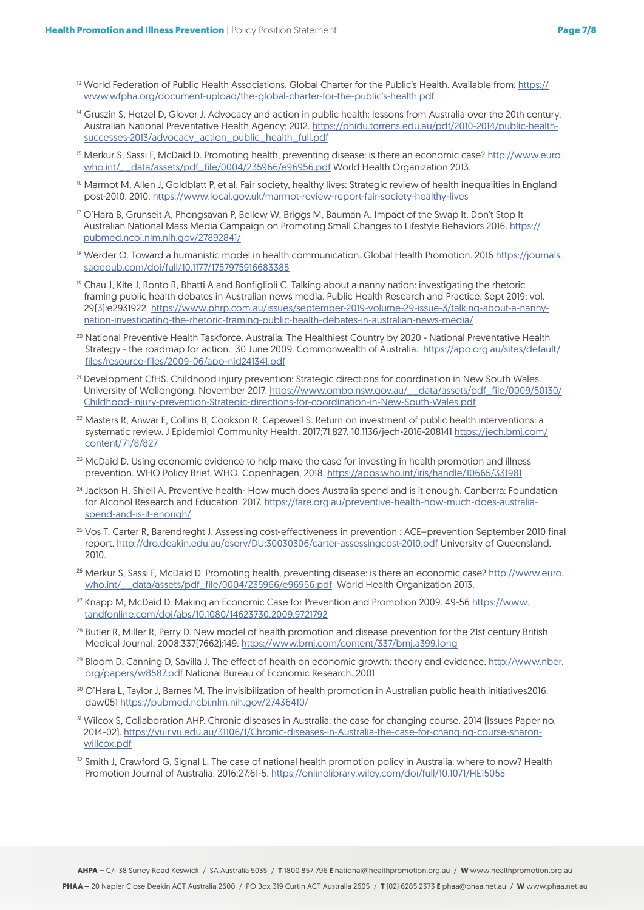- <sup>13</sup> World Federation of Public Health Associations. Global Charter for the Public's Health. Available from: [https://](https://www.wfpha.org/document-upload/the-global-charter-for-the-public’s-health.pdf) [www.wfpha.org/document-upload/the-global-charter-for-the-public's-health.pdf](https://www.wfpha.org/document-upload/the-global-charter-for-the-public’s-health.pdf)
- <sup>14</sup> Gruszin S, Hetzel D, Glover J, Advocacy and action in public health: lessons from Australia over the 20th century. Australian National Preventative Health Agency; 2012. [https://phidu.torrens.edu.au/pdf/2010-2014/public-health](https://phidu.torrens.edu.au/pdf/2010-2014/public-health-successes-2013/advocacy_action_public_health_full.pdf)[successes-2013/advocacy\\_action\\_public\\_health\\_full.pdf](https://phidu.torrens.edu.au/pdf/2010-2014/public-health-successes-2013/advocacy_action_public_health_full.pdf)
- <sup>15</sup> Merkur S, Sassi F, McDaid D. Promoting health, preventing disease: is there an economic case? [http://www.euro.](http://www.euro.who.int/__data/assets/pdf_file/0004/235966/e96956.pdf) [who.int/\\_\\_data/assets/pdf\\_file/0004/235966/e96956.pdf World Health Organization 2013.](http://www.euro.who.int/__data/assets/pdf_file/0004/235966/e96956.pdf)
- <sup>16</sup> Marmot M, Allen J, Goldblatt P, et al. Fair society, healthy lives: Strategic review of health inequalities in England post-2010. 2010. [https://www.local.gov.uk/marmot-review-report-fair-society-healthy-lives](Marmot M, Allen J, Goldblatt P, et al. Fair society, healthy lives: Strategic review of health inequalities in England post-2010. 2010.   https://www.local.gov.uk/marmot-review-report-fair-society-healthy-lives)
- <sup>17</sup> O'Hara B, Grunseit A, Phongsavan P, Bellew W, Briggs M, Bauman A. Impact of the Swap It, Don't Stop It Australian National Mass Media Campaign on Promoting Small Changes to Lifestyle Behaviors 2016. [https://](https://pubmed.ncbi.nlm.nih.gov/27892841/) [pubmed.ncbi.nlm.nih.gov/27892841/](https://pubmed.ncbi.nlm.nih.gov/27892841/)
- 18 Werder O. Toward a humanistic model in health communication. Global Health Promotion. 2016 [https://journals.](https://journals.sagepub.com/doi/full/10.1177/1757975916683385) [sagepub.com/doi/full/10.1177/1757975916683385](https://journals.sagepub.com/doi/full/10.1177/1757975916683385)
- <sup>19</sup> Chau J, Kite J, Ronto R, Bhatti A and Bonfiglioli C. Talking about a nanny nation: investigating the rhetoric framing public health debates in Australian news media. Public Health Research and Practice. Sept 2019; vol. 29(3):e2931922 [https://www.phrp.com.au/issues/september-2019-volume-29-issue-3/talking-about-a-nanny](https://www.phrp.com.au/issues/september-2019-volume-29-issue-3/talking-about-a-nanny-nation-investi)[nation-investigating-the-rhetoric-framing-public-health-debates-in-australian-news-media/](https://www.phrp.com.au/issues/september-2019-volume-29-issue-3/talking-about-a-nanny-nation-investi)
- <sup>20</sup> National Preventive Health Taskforce. Australia: The Healthiest Country by 2020 National Preventative Health Strategy - the roadmap for action. 30 June 2009. Commonwealth of Australia. [https://apo.org.au/sites/default/](https://apo.org.au/sites/default/files/resource-files/2009-06/apo-nid241341.pdf) [files/resource-files/2009-06/apo-nid241341.pdf](https://apo.org.au/sites/default/files/resource-files/2009-06/apo-nid241341.pdf)
- <sup>21</sup> Development CfHS. Childhood injury prevention: Strategic directions for coordination in New South Wales. University of Wollongong. November 2017. [https://www.ombo.nsw.gov.au/\\_\\_data/assets/pdf\\_file/0009/50130/](https://www.ombo.nsw.gov.au/__data/assets/pdf_file/0009/50130/Childhood-injury-prevention-Strategic-directions-for-coordination-in-New-South-Wales.pdf) [Childhood-injury-prevention-Strategic-directions-for-coordination-in-New-South-Wales.pdf](https://www.ombo.nsw.gov.au/__data/assets/pdf_file/0009/50130/Childhood-injury-prevention-Strategic-directions-for-coordination-in-New-South-Wales.pdf)
- <sup>22</sup> Masters R, Anwar E, Collins B, Cookson R, Capewell S. Return on investment of public health interventions: a systematic review. J Epidemiol Community Health. 2017;71:827. 10.1136/jech-2016-208141 [https://jech.bmj.com/](https://jech.bmj.com/content/71/8/827) [content/71/8/827](https://jech.bmj.com/content/71/8/827)
- <sup>23</sup> McDaid D. Using economic evidence to help make the case for investing in health promotion and illness prevention. WHO Policy Brief. WHO, Copenhagen, 2018. <https://apps.who.int/iris/handle/10665/331981>
- <sup>24</sup> Jackson H, Shiell A. Preventive health- How much does Australia spend and is it enough. Canberra: Foundation for Alcohol Research and Education. 2017. [https://fare.org.au/preventive-health-how-much-does-australia](https://fare.org.au/preventive-health-how-much-does-australia-spend-and-is-it-enough/)[spend-and-is-it-enough/](https://fare.org.au/preventive-health-how-much-does-australia-spend-and-is-it-enough/)
- <sup>25</sup> Vos T, Carter R, Barendreght J. Assessing cost-effectiveness in prevention : ACE–prevention September 2010 final report. <http://dro.deakin.edu.au/eserv/DU:30030306/carter-assessingcost-2010.pdf> University of Queensland. 2010.
- <sup>26</sup> Merkur S, Sassi F, McDaid D. Promoting health, preventing disease: is there an economic case? [http://www.euro.](http://www.euro.who.int/__data/assets/pdf_file/0004/235966/e96956.pdf) [who.int/\\_\\_data/assets/pdf\\_file/0004/235966/e96956.pdf](http://www.euro.who.int/__data/assets/pdf_file/0004/235966/e96956.pdf) World Health Organization 2013.
- <sup>27</sup> Knapp M, McDaid D. Making an Economic Case for Prevention and Promotion 2009. 49-56 [https://www.](https://www.tandfonline.com/doi/abs/10.1080/14623730.2009.9721792) [tandfonline.com/doi/abs/10.1080/14623730.2009.9721792](https://www.tandfonline.com/doi/abs/10.1080/14623730.2009.9721792)
- <sup>28</sup> Butler R, Miller R, Perry D. New model of health promotion and disease prevention for the 21st century British Medical Journal. 2008:337(7662):149.<https://www.bmj.com/content/337/bmj.a399.long>
- <sup>29</sup> Bloom D, Canning D, Savilla J. The effect of health on economic growth: theory and evidence. [http://www.nber.](http://www.nber.org/papers/w8587.pdf) [org/papers/w8587.pdf National Bureau of Economic Research. 2001](http://www.nber.org/papers/w8587.pdf)
- <sup>30</sup> O'Hara L, Taylor J, Barnes M. The invisibilization of health promotion in Australian public health initiatives2016. daw051<https://pubmed.ncbi.nlm.nih.gov/27436410/>
- <sup>31</sup> Wilcox S, Collaboration AHP. Chronic diseases in Australia: the case for changing course. 2014 (Issues Paper no. 2014-02). [https://vuir.vu.edu.au/31106/1/Chronic-diseases-in-Australia-the-case-for-changing-course-sharon](https://vuir.vu.edu.au/31106/1/Chronic-diseases-in-Australia-the-case-for-changing-course-sharon-willcox.pdf)[willcox.pdf](https://vuir.vu.edu.au/31106/1/Chronic-diseases-in-Australia-the-case-for-changing-course-sharon-willcox.pdf)
- <sup>32</sup> Smith J, Crawford G, Signal L. The case of national health promotion policy in Australia: where to now? Health Promotion Journal of Australia. 2016;27:61-5.<https://onlinelibrary.wiley.com/doi/full/10.1071/HE15055>